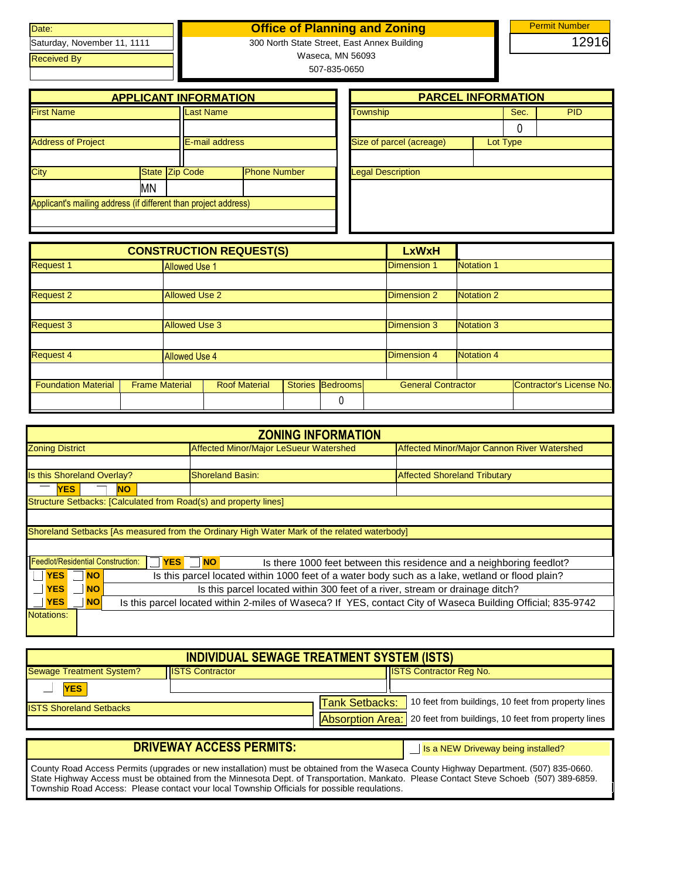| Date:                       |
|-----------------------------|
| Saturday, November 11, 1111 |
| <b>Received By</b>          |
|                             |

## **Office of Planning and Zoning**

300 North State Street, East Annex Building Waseca, MN 56093

507-835-0650

|                                                                 |    | <b>APPLICANT INFORMATION</b> |                     |                          | <b>PARCEL INFORMATION</b> |          |  |
|-----------------------------------------------------------------|----|------------------------------|---------------------|--------------------------|---------------------------|----------|--|
| <b>First Name</b>                                               |    | <b>Last Name</b>             |                     | Township                 |                           | Sec.     |  |
|                                                                 |    |                              |                     |                          |                           |          |  |
| <b>Address of Project</b>                                       |    | E-mail address               |                     | Size of parcel (acreage) |                           | Lot Type |  |
|                                                                 |    |                              |                     |                          |                           |          |  |
| City                                                            |    | State Zip Code               | <b>Phone Number</b> | <b>Legal Description</b> |                           |          |  |
|                                                                 | MΝ |                              |                     |                          |                           |          |  |
| Applicant's mailing address (if different than project address) |    |                              |                     |                          |                           |          |  |
|                                                                 |    |                              |                     |                          |                           |          |  |

| <b>PARCEL INFORMATION</b> |          |            |
|---------------------------|----------|------------|
| <b>Township</b>           | Sec.     | <b>PID</b> |
|                           |          |            |
| Size of parcel (acreage)  | Lot Type |            |
|                           |          |            |
| <b>Legal Description</b>  |          |            |
|                           |          |            |
|                           |          |            |
|                           |          |            |
|                           |          |            |

|                            |                       |                      | <b>CONSTRUCTION REQUEST(S)</b> |                |          | <b>LxWxH</b>              |                   |                          |
|----------------------------|-----------------------|----------------------|--------------------------------|----------------|----------|---------------------------|-------------------|--------------------------|
| <b>Request 1</b>           |                       | <b>Allowed Use 1</b> |                                |                |          | <b>Dimension 1</b>        | Notation 1        |                          |
|                            |                       |                      |                                |                |          |                           |                   |                          |
| <b>Request 2</b>           |                       | <b>Allowed Use 2</b> |                                |                |          | <b>Dimension 2</b>        | Notation 2        |                          |
|                            |                       |                      |                                |                |          |                           |                   |                          |
| <b>Request 3</b>           |                       | <b>Allowed Use 3</b> |                                |                |          | <b>Dimension 3</b>        | <b>Notation 3</b> |                          |
|                            |                       |                      |                                |                |          |                           |                   |                          |
| Request 4                  |                       | <b>Allowed Use 4</b> |                                |                |          | <b>Dimension 4</b>        | <b>Notation 4</b> |                          |
|                            |                       |                      |                                |                |          |                           |                   |                          |
| <b>Foundation Material</b> | <b>Frame Material</b> |                      | <b>Roof Material</b>           | <b>Stories</b> | Bedrooms | <b>General Contractor</b> |                   | Contractor's License No. |
|                            |                       |                      |                                |                | 0        |                           |                   |                          |

|                                                                  | <b>ZONING INFORMATION</b>                                                                                   |                                                                      |
|------------------------------------------------------------------|-------------------------------------------------------------------------------------------------------------|----------------------------------------------------------------------|
| <b>Zoning District</b>                                           | Affected Minor/Major LeSueur Watershed                                                                      | Affected Minor/Major Cannon River Watershed                          |
|                                                                  |                                                                                                             |                                                                      |
| Is this Shoreland Overlay?                                       | <b>Shoreland Basin:</b>                                                                                     | <b>Affected Shoreland Tributary</b>                                  |
| <b>YES</b><br><b>NO</b>                                          |                                                                                                             |                                                                      |
| Structure Setbacks: [Calculated from Road(s) and property lines] |                                                                                                             |                                                                      |
|                                                                  |                                                                                                             |                                                                      |
|                                                                  | Shoreland Setbacks [As measured from the Ordinary High Water Mark of the related waterbody]                 |                                                                      |
|                                                                  |                                                                                                             |                                                                      |
| <b>Feedlot/Residential Construction:</b>                         | YES <sup>N</sup> NO                                                                                         | Is there 1000 feet between this residence and a neighboring feedlot? |
| <b>YES</b><br><b>NO</b>                                          | Is this parcel located within 1000 feet of a water body such as a lake, wetland or flood plain?             |                                                                      |
| <b>YES</b><br><b>NO</b>                                          | Is this parcel located within 300 feet of a river, stream or drainage ditch?                                |                                                                      |
| <b>YES</b><br><b>NO</b>                                          | Is this parcel located within 2-miles of Waseca? If YES, contact City of Waseca Building Official; 835-9742 |                                                                      |
| Notations:                                                       |                                                                                                             |                                                                      |

|                                 | <b>INDIVIDUAL SEWAGE TREATMENT SYSTEM (ISTS)</b> |                                                                                                                                                   |
|---------------------------------|--------------------------------------------------|---------------------------------------------------------------------------------------------------------------------------------------------------|
| <b>Sewage Treatment System?</b> | <b>IISTS Contractor</b>                          | <b>ISTS Contractor Reg No.</b>                                                                                                                    |
| <b>YES</b>                      |                                                  |                                                                                                                                                   |
| <b>ISTS Shoreland Setbacks</b>  |                                                  | Tank Setbacks: 10 feet from buildings, 10 feet from property lines<br><b>Absorption Area:</b> 20 feet from buildings, 10 feet from property lines |
|                                 |                                                  |                                                                                                                                                   |

## **DRIVEWAY ACCESS PERMITS:**

Is a NEW Driveway being installed?

County Road Access Permits (upgrades or new installation) must be obtained from the Waseca County Highway Department. (507) 835-0660. State Highway Access must be obtained from the Minnesota Dept. of Transportation, Mankato. Please Contact Steve Schoeb (507) 389-6859. Township Road Access: Please contact your local Township Officials for possible regulations.